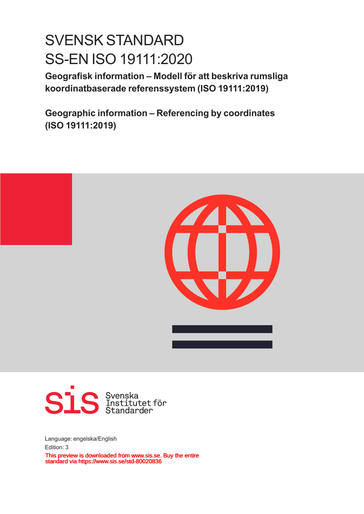# SVENSK STANDARD SS-EN ISO 19111:2020

**Geografisk information – Modell för att beskriva rumsliga koordinatbaserade referenssystem (ISO 19111:2019)**

**Geographic information – Referencing by coordinates (ISO 19111:2019)**





Language: engelska/English Edition: 3 This preview is downloaded from www.sis.se. Buy the entire standard via https://www.sis.se/std-80020836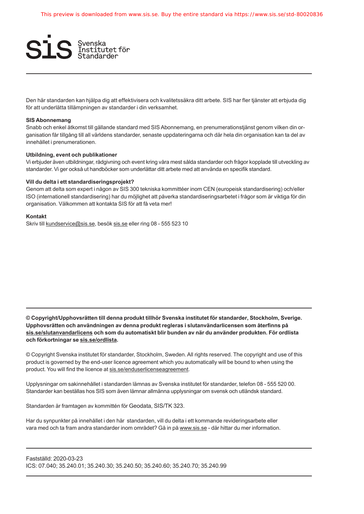

Den här standarden kan hjälpa dig att effektivisera och kvalitetssäkra ditt arbete. SIS har fler tjänster att erbjuda dig för att underlätta tillämpningen av standarder i din verksamhet.

#### **SIS Abonnemang**

Snabb och enkel åtkomst till gällande standard med SIS Abonnemang, en prenumerationstjänst genom vilken din organisation får tillgång till all världens standarder, senaste uppdateringarna och där hela din organisation kan ta del av innehållet i prenumerationen.

#### **Utbildning, event och publikationer**

Vi erbjuder även utbildningar, rådgivning och event kring våra mest sålda standarder och frågor kopplade till utveckling av standarder. Vi ger också ut handböcker som underlättar ditt arbete med att använda en specifik standard.

#### **Vill du delta i ett standardiseringsprojekt?**

Genom att delta som expert i någon av SIS 300 tekniska kommittéer inom CEN (europeisk standardisering) och/eller ISO (internationell standardisering) har du möjlighet att påverka standardiseringsarbetet i frågor som är viktiga för din organisation. Välkommen att kontakta SIS för att få veta mer!

#### **Kontakt**

Skriv till kundservice@sis.se, besök sis.se eller ring 08 - 555 523 10

**© Copyright/Upphovsrätten till denna produkt tillhör Svenska institutet för standarder, Stockholm, Sverige. Upphovsrätten och användningen av denna produkt regleras i slutanvändarlicensen som återfinns på sis.se/slutanvandarlicens och som du automatiskt blir bunden av när du använder produkten. För ordlista och förkortningar se sis.se/ordlista.**

© Copyright Svenska institutet för standarder, Stockholm, Sweden. All rights reserved. The copyright and use of this product is governed by the end-user licence agreement which you automatically will be bound to when using the product. You will find the licence at sis.se/enduserlicenseagreement.

Upplysningar om sakinnehållet i standarden lämnas av Svenska institutet för standarder, telefon 08 - 555 520 00. Standarder kan beställas hos SIS som även lämnar allmänna upplysningar om svensk och utländsk standard.

Standarden är framtagen av kommittén för Geodata, SIS/TK 323.

Har du synpunkter på innehållet i den här standarden, vill du delta i ett kommande revideringsarbete eller vara med och ta fram andra standarder inom området? Gå in på www.sis.se - där hittar du mer information.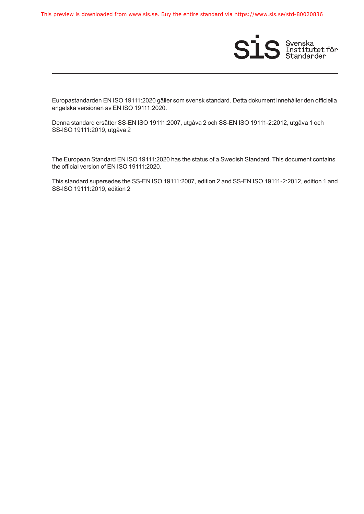

Europastandarden EN ISO 19111:2020 gäller som svensk standard. Detta dokument innehåller den officiella engelska versionen av EN ISO 19111:2020.

Denna standard ersätter SS-EN ISO 19111:2007, utgåva 2 och SS-EN ISO 19111-2:2012, utgåva 1 och SS-ISO 19111:2019, utgåva 2

The European Standard EN ISO 19111:2020 has the status of a Swedish Standard. This document contains the official version of EN ISO 19111:2020.

This standard supersedes the SS-EN ISO 19111:2007, edition 2 and SS-EN ISO 19111-2:2012, edition 1 and SS-ISO 19111:2019, edition 2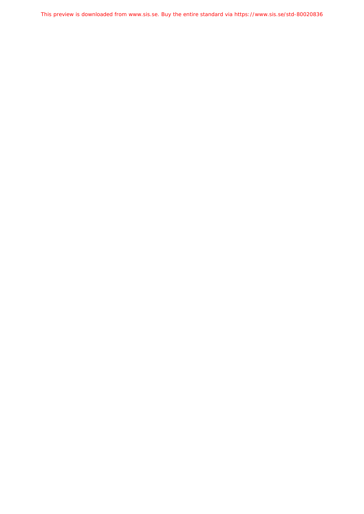This preview is downloaded from www.sis.se. Buy the entire standard via https://www.sis.se/std-80020836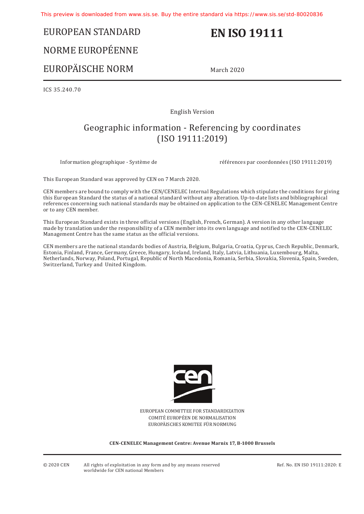## EUROPEAN STANDARD

## **EN ISO 19111**

## NORME EUROPÉENNE

## EUROPÄISCHE NORM

March 2020

ICS 35.240.70

English Version

## Geographic information - Referencing by coordinates (ISO 19111:2019)

Information géographique - Système de références par coordonnées (ISO 19111:2019)

This European Standard was approved by CEN on 7 March 2020.

CEN members are bound to comply with the CEN/CENELEC Internal Regulations which stipulate the conditions for giving this European Standard the status of a national standard without any alteration. Up-to-date lists and bibliographical references concerning such national standards may be obtained on application to the CEN-CENELEC Management Centre or to any CEN member.

This European Standard exists in three official versions (English, French, German). A version in any other language made by translation under the responsibility of a CEN member into its own language and notified to the CEN-CENELEC Management Centre has the same status as the official versions.

CEN members are the national standards bodies of Austria, Belgium, Bulgaria, Croatia, Cyprus, Czech Republic, Denmark, Estonia, Finland, France, Germany, Greece, Hungary, Iceland, Ireland, Italy, Latvia, Lithuania, Luxembourg, Malta, Netherlands, Norway, Poland, Portugal, Republic of North Macedonia, Romania, Serbia, Slovakia, Slovenia, Spain, Sweden, Switzerland, Turkey and United Kingdom.



EUROPEAN COMMITTEE FOR STANDARDIZATION COMITÉ EUROPÉEN DE NORMALISATION EUROPÄISCHES KOMITEE FÜR NORMUNG

**CEN-CENELEC Management Centre: Avenue Marnix 17, B-1000 Brussels**

© 2020 CEN All rights of exploitation in any form and by any means reserved Ref. No. EN ISO 19111:2020: E worldwide for CEN national Members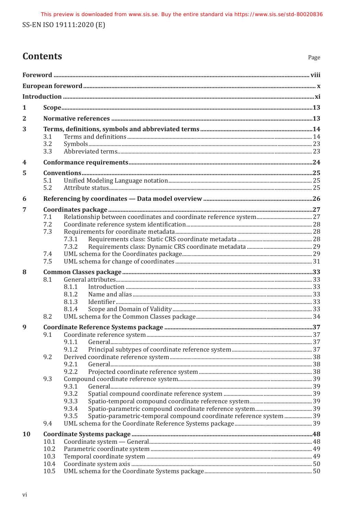## **Contents**

| 1                |                                                                              |  |  |  |  |
|------------------|------------------------------------------------------------------------------|--|--|--|--|
| $\mathbf{2}$     |                                                                              |  |  |  |  |
| 3                |                                                                              |  |  |  |  |
|                  | 3.1                                                                          |  |  |  |  |
|                  | 3.2                                                                          |  |  |  |  |
|                  | 3.3                                                                          |  |  |  |  |
| 4                |                                                                              |  |  |  |  |
| 5                |                                                                              |  |  |  |  |
|                  | 5.1<br>5.2                                                                   |  |  |  |  |
|                  |                                                                              |  |  |  |  |
| 6                |                                                                              |  |  |  |  |
| 7                |                                                                              |  |  |  |  |
|                  | 7.1                                                                          |  |  |  |  |
|                  | 7.2<br>7.3                                                                   |  |  |  |  |
|                  | 7.3.1                                                                        |  |  |  |  |
|                  | 7.3.2                                                                        |  |  |  |  |
|                  | 7.4                                                                          |  |  |  |  |
|                  | 7.5                                                                          |  |  |  |  |
| 8                |                                                                              |  |  |  |  |
|                  | 8.1                                                                          |  |  |  |  |
|                  | 8.1.1                                                                        |  |  |  |  |
|                  | 8.1.2<br>8.1.3                                                               |  |  |  |  |
|                  | 8.1.4                                                                        |  |  |  |  |
|                  | 8.2                                                                          |  |  |  |  |
| $\boldsymbol{q}$ |                                                                              |  |  |  |  |
|                  | 9.1                                                                          |  |  |  |  |
|                  | 9.1.1                                                                        |  |  |  |  |
|                  | 9.1.2                                                                        |  |  |  |  |
|                  | 9.2                                                                          |  |  |  |  |
|                  | 9.2.1                                                                        |  |  |  |  |
|                  | 9.2.2                                                                        |  |  |  |  |
|                  | 9.3<br>9.3.1                                                                 |  |  |  |  |
|                  | 9.3.2                                                                        |  |  |  |  |
|                  | 9.3.3                                                                        |  |  |  |  |
|                  | 9.3.4                                                                        |  |  |  |  |
|                  | Spatio-parametric-temporal compound coordinate reference system  39<br>9.3.5 |  |  |  |  |
|                  | 9.4                                                                          |  |  |  |  |
| 10               |                                                                              |  |  |  |  |
|                  | 10.1                                                                         |  |  |  |  |
|                  | 10.2<br>10.3                                                                 |  |  |  |  |
|                  | 10.4                                                                         |  |  |  |  |
|                  | 10.5                                                                         |  |  |  |  |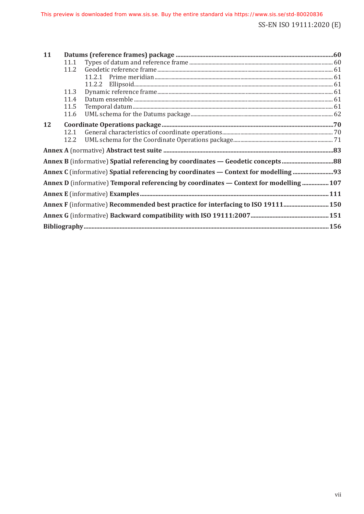| 11 |              |                                                                                        |  |  |  |
|----|--------------|----------------------------------------------------------------------------------------|--|--|--|
|    |              |                                                                                        |  |  |  |
|    | 11.2         |                                                                                        |  |  |  |
|    |              |                                                                                        |  |  |  |
|    |              |                                                                                        |  |  |  |
|    | 11.3         |                                                                                        |  |  |  |
|    | 11.4         |                                                                                        |  |  |  |
|    | 11.5<br>11.6 |                                                                                        |  |  |  |
| 12 |              |                                                                                        |  |  |  |
|    | 12.1         |                                                                                        |  |  |  |
|    | 12.2         |                                                                                        |  |  |  |
|    |              |                                                                                        |  |  |  |
|    |              |                                                                                        |  |  |  |
|    |              | Annex C (informative) Spatial referencing by coordinates — Context for modelling       |  |  |  |
|    |              | Annex D (informative) Temporal referencing by coordinates - Context for modelling  107 |  |  |  |
|    |              |                                                                                        |  |  |  |
|    |              | Annex F (informative) Recommended best practice for interfacing to ISO 19111 150       |  |  |  |
|    |              |                                                                                        |  |  |  |
|    |              |                                                                                        |  |  |  |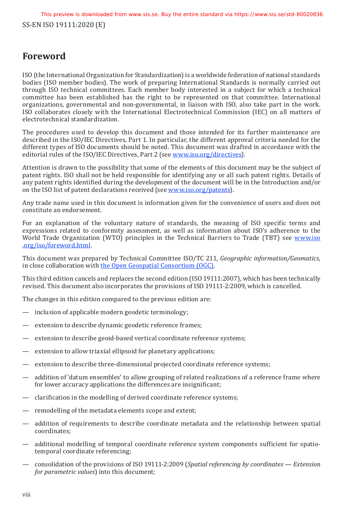## **Foreword**

ISO (the International Organization for Standardization) is a worldwide federation of national standards bodies (ISO member bodies). The work of preparing International Standards is normally carried out through ISO technical committees. Each member body interested in a subject for which a technical committee has been established has the right to be represented on that committee. International organizations, governmental and non-governmental, in liaison with ISO, also take part in the work. ISO collaborates closely with the International Electrotechnical Commission (IEC) on all matters of electrotechnical standardization.

The procedures used to develop this document and those intended for its further maintenance are described in the ISO/IEC Directives, Part 1. In particular, the different approval criteria needed for the different types of ISO documents should be noted. This document was drafted in accordance with the editorial rules of the ISO/IEC Directives, Part 2 (see [www.iso.org/directives\)](https://www.iso.org/directives-and-policies.html).

Attention is drawn to the possibility that some of the elements of this document may be the subject of patent rights. ISO shall not be held responsible for identifying any or all such patent rights. Details of any patent rights identified during the development of the document will be in the Introduction and/or on the ISO list of patent declarations received (see [www.iso.org/patents](https://www.iso.org/iso-standards-and-patents.html)).

Any trade name used in this document is information given for the convenience of users and does not constitute an endorsement.

For an explanation of the voluntary nature of standards, the meaning of ISO specific terms and expressions related to conformity assessment, as well as information about ISO's adherence to the World Trade Organization (WTO) principles in the Technical Barriers to Trade (TBT) see [www.iso](https://www.iso.org/foreword-supplementary-information.html) [.org/iso/foreword.html](https://www.iso.org/foreword-supplementary-information.html).

This document was prepared by Technical Committee ISO/TC 211, *Geographic information/Geomatics,* in close collaboration with [the Open Geospatial Consortium \(OGC\).](http://www.opengeospatial.org/)

This third edition cancels and replaces the second edition (ISO 19111:2007), which has been technically revised. This document also incorporates the provisions of ISO 19111-2:2009, which is cancelled.

The changes in this edition compared to the previous edition are:

- inclusion of applicable modern geodetic terminology;
- extension to describe dynamic geodetic reference frames;
- extension to describe geoid-based vertical coordinate reference systems;
- extension to allow triaxial ellipsoid for planetary applications;
- extension to describe three-dimensional projected coordinate reference systems;
- addition of 'datum ensembles' to allow grouping of related realizations of a reference frame where for lower accuracy applications the differences are insignificant;
- clarification in the modelling of derived coordinate reference systems;
- remodelling of the metadata elements scope and extent;
- addition of requirements to describe coordinate metadata and the relationship between spatial coordinates;
- additional modelling of temporal coordinate reference system components sufficient for spatiotemporal coordinate referencing;
- consolidation of the provisions of ISO 19111-2:2009 (*Spatial referencing by coordinates Extension for parametric values*) into this document;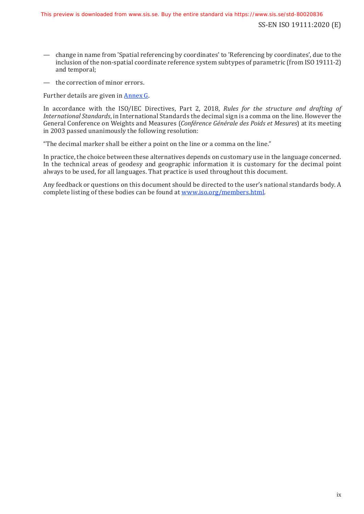- change in name from 'Spatial referencing by coordinates' to 'Referencing by coordinates', due to the inclusion of the non-spatial coordinate reference system subtypes of parametric (from ISO 19111-2) and temporal;
- the correction of minor errors.

Further details are given in Annex G.

In accordance with the ISO/IEC Directives, Part 2, 2018, *Rules for the structure and drafting of International Standards*, in International Standards the decimal sign is a comma on the line. However the General Conference on Weights and Measures (*Conférence Générale des Poids et Mesures*) at its meeting in 2003 passed unanimously the following resolution:

"The decimal marker shall be either a point on the line or a comma on the line."

In practice, the choice between these alternatives depends on customary use in the language concerned. In the technical areas of geodesy and geographic information it is customary for the decimal point always to be used, for all languages. That practice is used throughout this document.

Any feedback or questions on this document should be directed to the user's national standards body. A complete listing of these bodies can be found at [www.iso.org/members.html.](https://www.iso.org/members.html)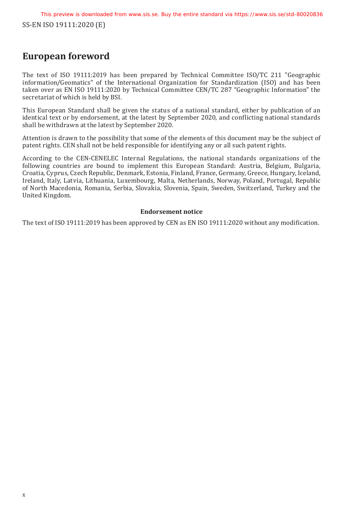## **European foreword**

The text of ISO 19111:2019 has been prepared by Technical Committee ISO/TC 211 "Geographic information/Geomatics" of the International Organization for Standardization (ISO) and has been taken over as EN ISO 19111:2020 by Technical Committee CEN/TC 287 "Geographic Information" the secretariat of which is held by BSI.

This European Standard shall be given the status of a national standard, either by publication of an identical text or by endorsement, at the latest by September 2020, and conflicting national standards shall be withdrawn at the latest by September 2020.

Attention is drawn to the possibility that some of the elements of this document may be the subject of patent rights. CEN shall not be held responsible for identifying any or all such patent rights.

According to the CEN-CENELEC Internal Regulations, the national standards organizations of the following countries are bound to implement this European Standard: Austria, Belgium, Bulgaria, Croatia, Cyprus, Czech Republic, Denmark, Estonia, Finland, France, Germany, Greece, Hungary, Iceland, Ireland, Italy, Latvia, Lithuania, Luxembourg, Malta, Netherlands, Norway, Poland, Portugal, Republic of North Macedonia, Romania, Serbia, Slovakia, Slovenia, Spain, Sweden, Switzerland, Turkey and the United Kingdom.

#### **Endorsement notice**

The text of ISO 19111:2019 has been approved by CEN as EN ISO 19111:2020 without any modification.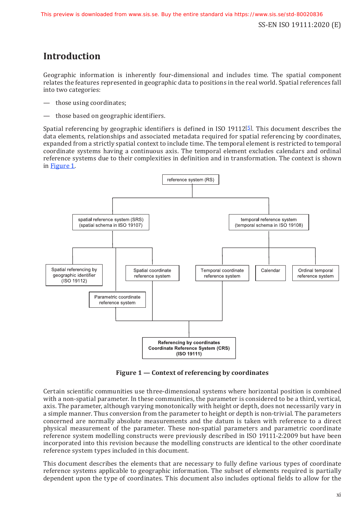## **Introduction**

Geographic information is inherently four-dimensional and includes time. The spatial component relates the features represented in geographic data to positions in the real world. Spatial references fall into two categories:

- those using coordinates;
- those based on geographic identifiers.

Spatial referencing by geographic identifiers is defined in ISO 19112[5]. This document describes the data elements, relationships and associated metadata required for spatial referencing by coordinates, expanded from a strictly spatial context to include time. The temporal element is restricted to temporal coordinate systems having a continuous axis. The temporal element excludes calendars and ordinal reference systems due to their complexities in definition and in transformation. The context is shown in Figure 1.



**Figure 1 — Context of referencing by coordinates**

Certain scientific communities use three-dimensional systems where horizontal position is combined with a non-spatial parameter. In these communities, the parameter is considered to be a third, vertical, axis. The parameter, although varying monotonically with height or depth, does not necessarily vary in a simple manner. Thus conversion from the parameter to height or depth is non-trivial. The parameters concerned are normally absolute measurements and the datum is taken with reference to a direct physical measurement of the parameter. These non-spatial parameters and parametric coordinate reference system modelling constructs were previously described in ISO 19111-2:2009 but have been incorporated into this revision because the modelling constructs are identical to the other coordinate reference system types included in this document.

This document describes the elements that are necessary to fully define various types of coordinate reference systems applicable to geographic information. The subset of elements required is partially dependent upon the type of coordinates. This document also includes optional fields to allow for the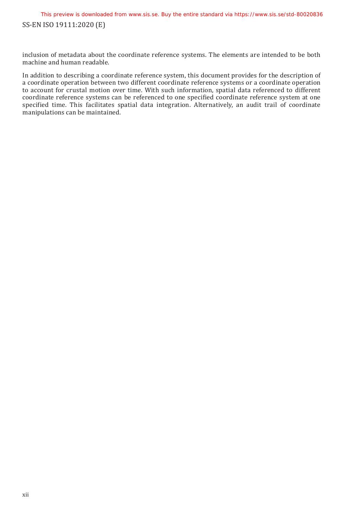inclusion of metadata about the coordinate reference systems. The elements are intended to be both machine and human readable.

In addition to describing a coordinate reference system, this document provides for the description of a coordinate operation between two different coordinate reference systems or a coordinate operation to account for crustal motion over time. With such information, spatial data referenced to different coordinate reference systems can be referenced to one specified coordinate reference system at one specified time. This facilitates spatial data integration. Alternatively, an audit trail of coordinate manipulations can be maintained.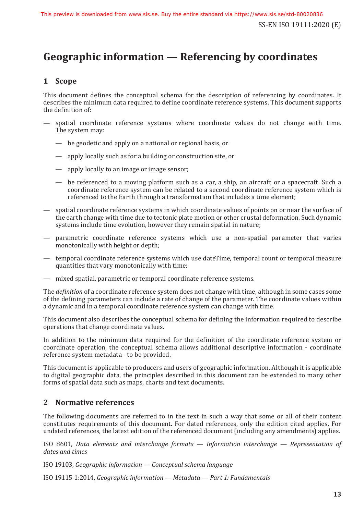## **Geographic information — Referencing by coordinates**

## **1 Scope**

This document defines the conceptual schema for the description of referencing by coordinates. It describes the minimum data required to define coordinate reference systems. This document supports the definition of:

- spatial coordinate reference systems where coordinate values do not change with time. The system may:
	- be geodetic and apply on a national or regional basis, or
	- apply locally such as for a building or construction site, or
	- apply locally to an image or image sensor;
	- be referenced to a moving platform such as a car, a ship, an aircraft or a spacecraft. Such a coordinate reference system can be related to a second coordinate reference system which is referenced to the Earth through a transformation that includes a time element;
- spatial coordinate reference systems in which coordinate values of points on or near the surface of the earth change with time due to tectonic plate motion or other crustal deformation. Such dynamic systems include time evolution, however they remain spatial in nature;
- parametric coordinate reference systems which use a non-spatial parameter that varies monotonically with height or depth;
- temporal coordinate reference systems which use dateTime, temporal count or temporal measure quantities that vary monotonically with time;
- mixed spatial, parametric or temporal coordinate reference systems.

The *definition* of a coordinate reference system does not change with time, although in some cases some of the defining parameters can include a rate of change of the parameter. The coordinate values within a dynamic and in a temporal coordinate reference system can change with time.

This document also describes the conceptual schema for defining the information required to describe operations that change coordinate values.

In addition to the minimum data required for the definition of the coordinate reference system or coordinate operation, the conceptual schema allows additional descriptive information - coordinate reference system metadata - to be provided.

This document is applicable to producers and users of geographic information. Although it is applicable to digital geographic data, the principles described in this document can be extended to many other forms of spatial data such as maps, charts and text documents.

### **2 Normative references**

The following documents are referred to in the text in such a way that some or all of their content constitutes requirements of this document. For dated references, only the edition cited applies. For undated references, the latest edition of the referenced document (including any amendments) applies.

ISO 8601, *Data elements and interchange formats — Information interchange — Representation of dates and times*

ISO 19103, *Geographic information — Conceptual schema language*

ISO 19115-1:2014, *Geographic information — Metadata — Part 1: Fundamentals*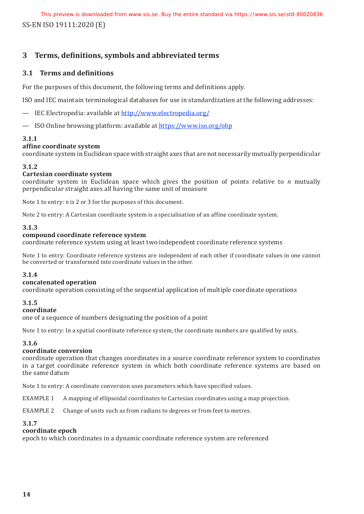## **3 Terms, definitions, symbols and abbreviated terms**

### **3.1 Terms and definitions**

For the purposes of this document, the following terms and definitions apply.

ISO and IEC maintain terminological databases for use in standardization at the following addresses:

— IEC Electropedia: available at<http://www.electropedia.org/>

— ISO Online browsing platform: available at [https://www.iso.org/obp](https://www.iso.org/obp/ui)

#### **3.1.1**

#### **affine coordinate system**

coordinate system in Euclidean space with straight axes that are not necessarily mutually perpendicular

#### **3.1.2**

#### **Cartesian coordinate system**

coordinate system in Euclidean space which gives the position of points relative to *n* mutually perpendicular straight axes all having the same unit of measure

Note 1 to entry: *n* is 2 or 3 for the purposes of this document.

Note 2 to entry: A Cartesian coordinate system is a specialisation of an affine coordinate system.

#### **3.1.3**

#### **compound coordinate reference system**

coordinate reference system using at least two independent coordinate reference systems

Note 1 to entry: Coordinate reference systems are independent of each other if coordinate values in one cannot be converted or transformed into coordinate values in the other.

#### **3.1.4**

#### **concatenated operation**

coordinate operation consisting of the sequential application of multiple coordinate operations

#### **3.1.5**

#### **coordinate**

one of a sequence of numbers designating the position of a point

Note 1 to entry: In a spatial coordinate reference system, the coordinate numbers are qualified by units.

#### **3.1.6**

#### **coordinate conversion**

coordinate operation that changes coordinates in a source coordinate reference system to coordinates in a target coordinate reference system in which both coordinate reference systems are based on the same datum

Note 1 to entry: A coordinate conversion uses parameters which have specified values.

EXAMPLE 1 A mapping of ellipsoidal coordinates to Cartesian coordinates using a map projection.

EXAMPLE 2 Change of units such as from radians to degrees or from feet to metres.

#### **3.1.7**

#### **coordinate epoch**

epoch to which coordinates in a dynamic coordinate reference system are referenced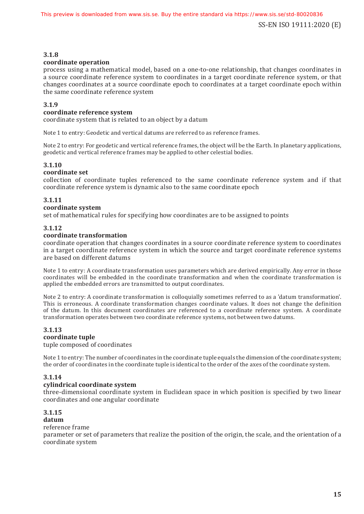#### **3.1.8**

#### **coordinate operation**

process using a mathematical model, based on a one-to-one relationship, that changes coordinates in a source coordinate reference system to coordinates in a target coordinate reference system, or that changes coordinates at a source coordinate epoch to coordinates at a target coordinate epoch within the same coordinate reference system

#### **3.1.9**

#### **coordinate reference system**

coordinate system that is related to an object by a datum

Note 1 to entry: Geodetic and vertical datums are referred to as reference frames.

Note 2 to entry: For geodetic and vertical reference frames, the object will be the Earth. In planetary applications, geodetic and vertical reference frames may be applied to other celestial bodies.

#### **3.1.10**

#### **coordinate set**

collection of coordinate tuples referenced to the same coordinate reference system and if that coordinate reference system is dynamic also to the same coordinate epoch

#### **3.1.11**

#### **coordinate system**

set of mathematical rules for specifying how coordinates are to be assigned to points

#### **3.1.12**

#### **coordinate transformation**

coordinate operation that changes coordinates in a source coordinate reference system to coordinates in a target coordinate reference system in which the source and target coordinate reference systems are based on different datums

Note 1 to entry: A coordinate transformation uses parameters which are derived empirically. Any error in those coordinates will be embedded in the coordinate transformation and when the coordinate transformation is applied the embedded errors are transmitted to output coordinates.

Note 2 to entry: A coordinate transformation is colloquially sometimes referred to as a 'datum transformation'. This is erroneous. A coordinate transformation changes coordinate values. It does not change the definition of the datum. In this document coordinates are referenced to a coordinate reference system. A coordinate transformation operates between two coordinate reference systems, not between two datums.

### **3.1.13 coordinate tuple**

tuple composed of coordinates

Note 1 to entry: The number of coordinates in the coordinate tuple equals the dimension of the coordinate system; the order of coordinates in the coordinate tuple is identical to the order of the axes of the coordinate system.

#### **3.1.14**

#### **cylindrical coordinate system**

three-dimensional coordinate system in Euclidean space in which position is specified by two linear coordinates and one angular coordinate

## **3.1.15**

## **datum**

### reference frame

parameter or set of parameters that realize the position of the origin, the scale, and the orientation of a coordinate system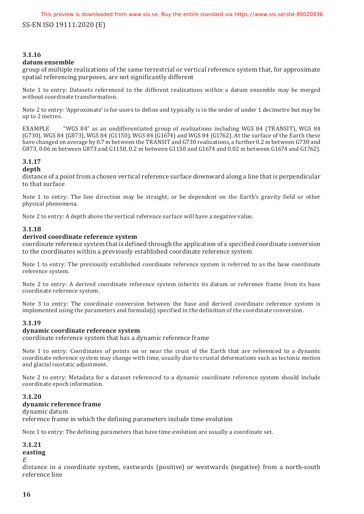SS-EN ISO 19111:2020 (E)

### **3.1.16**

#### **datum ensemble**

group of multiple realizations of the same terrestrial or vertical reference system that, for approximate spatial referencing purposes, are not significantly different

Note 1 to entry: Datasets referenced to the different realizations within a datum ensemble may be merged without coordinate transformation.

Note 2 to entry: 'Approximate' is for users to define and typically is in the order of under 1 decimetre but may be up to 2 metres.

EXAMPLE "WGS 84" as an undifferentiated group of realizations including WGS 84 (TRANSIT), WGS 84 (G730), WGS 84 (G873), WGS 84 (G1150), WGS 84 (G1674) and WGS 84 (G1762). At the surface of the Earth these have changed on average by 0.7 m between the TRANSIT and G730 realizations, a further 0.2 m between G730 and G873, 0.06 m between G873 and G1150, 0.2 m between G1150 and G1674 and 0.02 m between G1674 and G1762).

#### **3.1.17**

#### **depth**

distance of a point from a chosen vertical reference surface downward along a line that is perpendicular to that surface

Note 1 to entry: The line direction may be straight, or be dependent on the Earth's gravity field or other physical phenomena.

Note 2 to entry: A depth above the vertical reference surface will have a negative value.

#### **3.1.18**

#### **derived coordinate reference system**

coordinate reference system that is defined through the application of a specified coordinate conversion to the coordinates within a previously established coordinate reference system

Note 1 to entry: The previously established coordinate reference system is referred to as the base coordinate reference system.

Note 2 to entry: A derived coordinate reference system inherits its datum or reference frame from its base coordinate reference system.

Note 3 to entry: The coordinate conversion between the base and derived coordinate reference system is implemented using the parameters and formula(s) specified in the definition of the coordinate conversion.

#### **3.1.19**

#### **dynamic coordinate reference system**

coordinate reference system that has a dynamic reference frame

Note 1 to entry: Coordinates of points on or near the crust of the Earth that are referenced to a dynamic coordinate reference system may change with time, usually due to crustal deformations such as tectonic motion and glacial isostatic adjustment.

Note 2 to entry: Metadata for a dataset referenced to a dynamic coordinate reference system should include coordinate epoch information.

#### **3.1.20**

#### **dynamic reference frame**

dynamic datum reference frame in which the defining parameters include time evolution

Note 1 to entry: The defining parameters that have time evolution are usually a coordinate set.

### **3.1.21**

#### **easting**

*E*

distance in a coordinate system, eastwards (positive) or westwards (negative) from a north-south reference line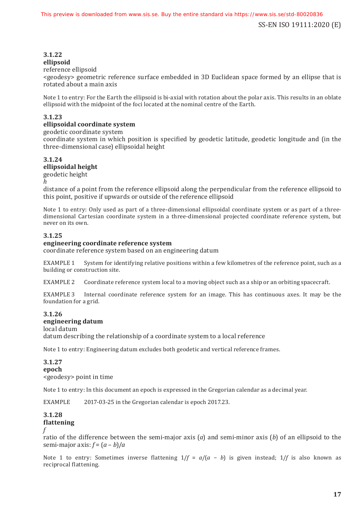SS-EN ISO 19111:2020 (E)

## **3.1.22**

#### **ellipsoid**

reference ellipsoid

<geodesy> geometric reference surface embedded in 3D Euclidean space formed by an ellipse that is rotated about a main axis

Note 1 to entry: For the Earth the ellipsoid is bi-axial with rotation about the polar axis. This results in an oblate ellipsoid with the midpoint of the foci located at the nominal centre of the Earth.

#### **3.1.23**

#### **ellipsoidal coordinate system**

geodetic coordinate system

coordinate system in which position is specified by geodetic latitude, geodetic longitude and (in the three-dimensional case) ellipsoidal height

#### **3.1.24 ellipsoidal height**

geodetic height

*h*

distance of a point from the reference ellipsoid along the perpendicular from the reference ellipsoid to this point, positive if upwards or outside of the reference ellipsoid

Note 1 to entry: Only used as part of a three-dimensional ellipsoidal coordinate system or as part of a threedimensional Cartesian coordinate system in a three-dimensional projected coordinate reference system, but never on its own.

#### **3.1.25**

#### **engineering coordinate reference system**

coordinate reference system based on an engineering datum

EXAMPLE 1 System for identifying relative positions within a few kilometres of the reference point, such as a building or construction site.

EXAMPLE 2 Coordinate reference system local to a moving object such as a ship or an orbiting spacecraft.

EXAMPLE 3 Internal coordinate reference system for an image. This has continuous axes. It may be the foundation for a grid.

#### **3.1.26 engineering datum**

local datum

datum describing the relationship of a coordinate system to a local reference

Note 1 to entry: Engineering datum excludes both geodetic and vertical reference frames.

**3.1.27 epoch** <geodesy> point in time

Note 1 to entry: In this document an epoch is expressed in the Gregorian calendar as a decimal year.

EXAMPLE 2017-03-25 in the Gregorian calendar is epoch 2017.23.

#### **3.1.28 flattening** *f*

ratio of the difference between the semi-major axis (*a*) and semi-minor axis (*b*) of an ellipsoid to the semi-major axis: *f* = (*a* – *b*)/*a*

Note 1 to entry: Sometimes inverse flattening 1/*f* = *a*/(*a − b*) is given instead; 1/*f* is also known as reciprocal flattening.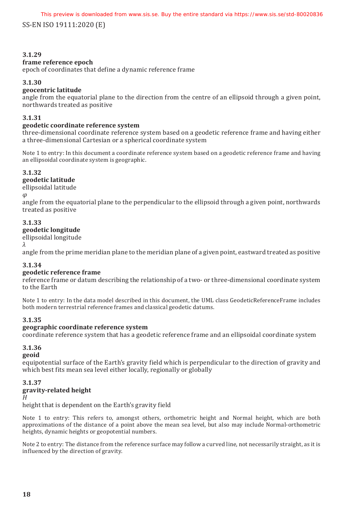SS-EN ISO 19111:2020 (E)

### **3.1.29**

#### **frame reference epoch**

epoch of coordinates that define a dynamic reference frame

#### **3.1.30**

#### **geocentric latitude**

angle from the equatorial plane to the direction from the centre of an ellipsoid through a given point, northwards treated as positive

#### **3.1.31**

#### **geodetic coordinate reference system**

three-dimensional coordinate reference system based on a geodetic reference frame and having either a three-dimensional Cartesian or a spherical coordinate system

Note 1 to entry: In this document a coordinate reference system based on a geodetic reference frame and having an ellipsoidal coordinate system is geographic.

**3.1.32**

## **geodetic latitude**

ellipsoidal latitude

*φ*

angle from the equatorial plane to the perpendicular to the ellipsoid through a given point, northwards treated as positive

#### **3.1.33**

#### **geodetic longitude**

ellipsoidal longitude

*λ*

angle from the prime meridian plane to the meridian plane of a given point, eastward treated as positive

#### **3.1.34**

#### **geodetic reference frame**

reference frame or datum describing the relationship of a two- or three-dimensional coordinate system to the Earth

Note 1 to entry: In the data model described in this document, the UML class GeodeticReferenceFrame includes both modern terrestrial reference frames and classical geodetic datums.

#### **3.1.35**

#### **geographic coordinate reference system**

coordinate reference system that has a geodetic reference frame and an ellipsoidal coordinate system

#### **3.1.36**

**geoid**

equipotential surface of the Earth's gravity field which is perpendicular to the direction of gravity and which best fits mean sea level either locally, regionally or globally

#### **3.1.37**

#### **gravity-related height**

*H*

height that is dependent on the Earth's gravity field

Note 1 to entry: This refers to, amongst others, orthometric height and Normal height, which are both approximations of the distance of a point above the mean sea level, but also may include Normal-orthometric heights, dynamic heights or geopotential numbers.

Note 2 to entry: The distance from the reference surface may follow a curved line, not necessarily straight, as it is influenced by the direction of gravity.